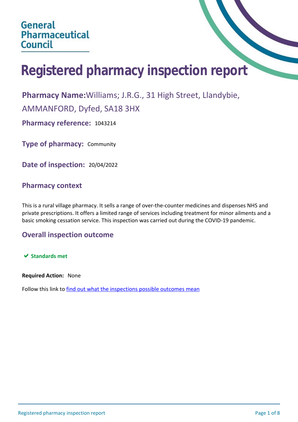# **Registered pharmacy inspection report**

**Pharmacy Name:**Williams; J.R.G., 31 High Street, Llandybie,

AMMANFORD, Dyfed, SA18 3HX

**Pharmacy reference:** 1043214

**Type of pharmacy:** Community

**Date of inspection:** 20/04/2022

## **Pharmacy context**

This is a rural village pharmacy. It sells a range of over-the-counter medicines and dispenses NHS and private prescriptions. It offers a limited range of services including treatment for minor ailments and a basic smoking cessation service. This inspection was carried out during the COVID-19 pandemic.

## **Overall inspection outcome**

 $★$  **Standards met** 

**Required Action:** None

Follow this link to [find out what the inspections possible outcomes mean](#page-7-0)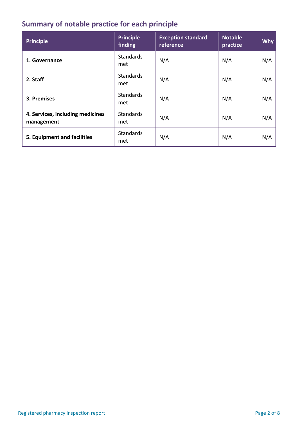## **Summary of notable practice for each principle**

| <b>Principle</b>                               | <b>Principle</b><br>finding | <b>Exception standard</b><br>reference | <b>Notable</b><br>practice | <b>Why</b> |
|------------------------------------------------|-----------------------------|----------------------------------------|----------------------------|------------|
| 1. Governance                                  | <b>Standards</b><br>met     | N/A                                    | N/A                        | N/A        |
| 2. Staff                                       | <b>Standards</b><br>met     | N/A                                    | N/A                        | N/A        |
| 3. Premises                                    | <b>Standards</b><br>met     | N/A                                    | N/A                        | N/A        |
| 4. Services, including medicines<br>management | <b>Standards</b><br>met     | N/A                                    | N/A                        | N/A        |
| 5. Equipment and facilities                    | <b>Standards</b><br>met     | N/A                                    | N/A                        | N/A        |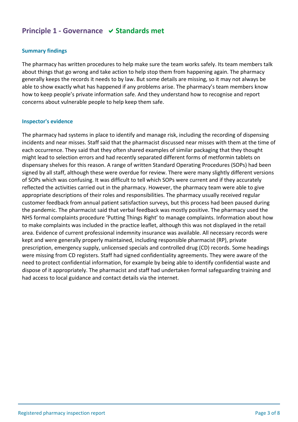## **Principle 1 - Governance**  $\vee$  **Standards met**

#### **Summary findings**

The pharmacy has written procedures to help make sure the team works safely. Its team members talk about things that go wrong and take action to help stop them from happening again. The pharmacy generally keeps the records it needs to by law. But some details are missing, so it may not always be able to show exactly what has happened if any problems arise. The pharmacy's team members know how to keep people's private information safe. And they understand how to recognise and report concerns about vulnerable people to help keep them safe.

#### **Inspector's evidence**

The pharmacy had systems in place to identify and manage risk, including the recording of dispensing incidents and near misses. Staff said that the pharmacist discussed near misses with them at the time of each occurrence. They said that they often shared examples of similar packaging that they thought might lead to selection errors and had recently separated different forms of metformin tablets on dispensary shelves for this reason. A range of written Standard Operating Procedures (SOPs) had been signed by all staff, although these were overdue for review. There were many slightly different versions of SOPs which was confusing. It was difficult to tell which SOPs were current and if they accurately reflected the activities carried out in the pharmacy. However, the pharmacy team were able to give appropriate descriptions of their roles and responsibilities. The pharmacy usually received regular customer feedback from annual patient satisfaction surveys, but this process had been paused during the pandemic. The pharmacist said that verbal feedback was mostly positive. The pharmacy used the NHS formal complaints procedure 'Putting Things Right' to manage complaints. Information about how to make complaints was included in the practice leaflet, although this was not displayed in the retail area. Evidence of current professional indemnity insurance was available. All necessary records were kept and were generally properly maintained, including responsible pharmacist (RP), private prescription, emergency supply, unlicensed specials and controlled drug (CD) records. Some headings were missing from CD registers. Staff had signed confidentiality agreements. They were aware of the need to protect confidential information, for example by being able to identify confidential waste and dispose of it appropriately. The pharmacist and staff had undertaken formal safeguarding training and had access to local guidance and contact details via the internet.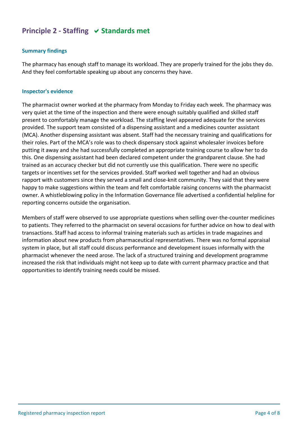## **Principle 2 - Staffing**  $\vee$  **Standards met**

#### **Summary findings**

The pharmacy has enough staff to manage its workload. They are properly trained for the jobs they do. And they feel comfortable speaking up about any concerns they have.

#### **Inspector's evidence**

The pharmacist owner worked at the pharmacy from Monday to Friday each week. The pharmacy was very quiet at the time of the inspection and there were enough suitably qualified and skilled staff present to comfortably manage the workload. The staffing level appeared adequate for the services provided. The support team consisted of a dispensing assistant and a medicines counter assistant (MCA). Another dispensing assistant was absent. Staff had the necessary training and qualifications for their roles. Part of the MCA's role was to check dispensary stock against wholesaler invoices before putting it away and she had successfully completed an appropriate training course to allow her to do this. One dispensing assistant had been declared competent under the grandparent clause. She had trained as an accuracy checker but did not currently use this qualification. There were no specific targets or incentives set for the services provided. Staff worked well together and had an obvious rapport with customers since they served a small and close-knit community. They said that they were happy to make suggestions within the team and felt comfortable raising concerns with the pharmacist owner. A whistleblowing policy in the Information Governance file advertised a confidential helpline for reporting concerns outside the organisation.

Members of staff were observed to use appropriate questions when selling over-the-counter medicines to patients. They referred to the pharmacist on several occasions for further advice on how to deal with transactions. Staff had access to informal training materials such as articles in trade magazines and information about new products from pharmaceutical representatives. There was no formal appraisal system in place, but all staff could discuss performance and development issues informally with the pharmacist whenever the need arose. The lack of a structured training and development programme increased the risk that individuals might not keep up to date with current pharmacy practice and that opportunities to identify training needs could be missed.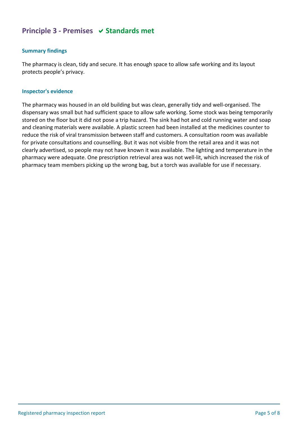## **Principle 3 - Premises**  $\vee$  **Standards met**

## **Summary findings**

The pharmacy is clean, tidy and secure. It has enough space to allow safe working and its layout protects people's privacy.

#### **Inspector's evidence**

The pharmacy was housed in an old building but was clean, generally tidy and well-organised. The dispensary was small but had sufficient space to allow safe working. Some stock was being temporarily stored on the floor but it did not pose a trip hazard. The sink had hot and cold running water and soap and cleaning materials were available. A plastic screen had been installed at the medicines counter to reduce the risk of viral transmission between staff and customers. A consultation room was available for private consultations and counselling. But it was not visible from the retail area and it was not clearly advertised, so people may not have known it was available. The lighting and temperature in the pharmacy were adequate. One prescription retrieval area was not well-lit, which increased the risk of pharmacy team members picking up the wrong bag, but a torch was available for use if necessary.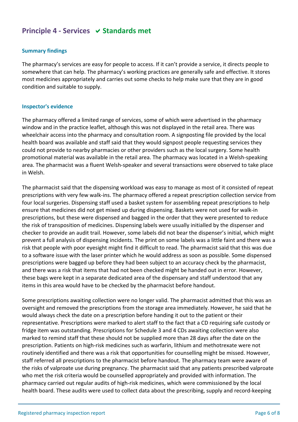## **Principle 4 - Services**  $\vee$  **Standards met**

#### **Summary findings**

The pharmacy's services are easy for people to access. If it can't provide a service, it directs people to somewhere that can help. The pharmacy's working practices are generally safe and effective. It stores most medicines appropriately and carries out some checks to help make sure that they are in good condition and suitable to supply.

#### **Inspector's evidence**

The pharmacy offered a limited range of services, some of which were advertised in the pharmacy window and in the practice leaflet, although this was not displayed in the retail area. There was wheelchair access into the pharmacy and consultation room. A signposting file provided by the local health board was available and staff said that they would signpost people requesting services they could not provide to nearby pharmacies or other providers such as the local surgery. Some health promotional material was available in the retail area. The pharmacy was located in a Welsh-speaking area. The pharmacist was a fluent Welsh-speaker and several transactions were observed to take place in Welsh.

The pharmacist said that the dispensing workload was easy to manage as most of it consisted of repeat prescriptions with very few walk-ins. The pharmacy offered a repeat prescription collection service from four local surgeries. Dispensing staff used a basket system for assembling repeat prescriptions to help ensure that medicines did not get mixed up during dispensing. Baskets were not used for walk-in prescriptions, but these were dispensed and bagged in the order that they were presented to reduce the risk of transposition of medicines. Dispensing labels were usually initialled by the dispenser and checker to provide an audit trail. However, some labels did not bear the dispenser's initial, which might prevent a full analysis of dispensing incidents. The print on some labels was a little faint and there was a risk that people with poor eyesight might find it difficult to read. The pharmacist said that this was due to a software issue with the laser printer which he would address as soon as possible. Some dispensed prescriptions were bagged up before they had been subject to an accuracy check by the pharmacist, and there was a risk that items that had not been checked might be handed out in error. However, these bags were kept in a separate dedicated area of the dispensary and staff understood that any items in this area would have to be checked by the pharmacist before handout.

Some prescriptions awaiting collection were no longer valid. The pharmacist admitted that this was an oversight and removed the prescriptions from the storage area immediately. However, he said that he would always check the date on a prescription before handing it out to the patient or their representative. Prescriptions were marked to alert staff to the fact that a CD requiring safe custody or fridge item was outstanding. Prescriptions for Schedule 3 and 4 CDs awaiting collection were also marked to remind staff that these should not be supplied more than 28 days after the date on the prescription. Patients on high-risk medicines such as warfarin, lithium and methotrexate were not routinely identified and there was a risk that opportunities for counselling might be missed. However, staff referred all prescriptions to the pharmacist before handout. The pharmacy team were aware of the risks of valproate use during pregnancy. The pharmacist said that any patients prescribed valproate who met the risk criteria would be counselled appropriately and provided with information. The pharmacy carried out regular audits of high-risk medicines, which were commissioned by the local health board. These audits were used to collect data about the prescribing, supply and record-keeping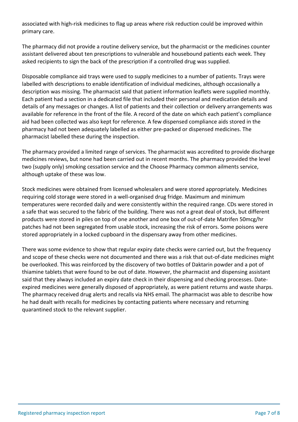associated with high-risk medicines to flag up areas where risk reduction could be improved within primary care.

The pharmacy did not provide a routine delivery service, but the pharmacist or the medicines counter assistant delivered about ten prescriptions to vulnerable and housebound patients each week. They asked recipients to sign the back of the prescription if a controlled drug was supplied.

Disposable compliance aid trays were used to supply medicines to a number of patients. Trays were labelled with descriptions to enable identification of individual medicines, although occasionally a description was missing. The pharmacist said that patient information leaflets were supplied monthly. Each patient had a section in a dedicated file that included their personal and medication details and details of any messages or changes. A list of patients and their collection or delivery arrangements was available for reference in the front of the file. A record of the date on which each patient's compliance aid had been collected was also kept for reference. A few dispensed compliance aids stored in the pharmacy had not been adequately labelled as either pre-packed or dispensed medicines. The pharmacist labelled these during the inspection.

The pharmacy provided a limited range of services. The pharmacist was accredited to provide discharge medicines reviews, but none had been carried out in recent months. The pharmacy provided the level two (supply only) smoking cessation service and the Choose Pharmacy common ailments service, although uptake of these was low.

Stock medicines were obtained from licensed wholesalers and were stored appropriately. Medicines requiring cold storage were stored in a well-organised drug fridge. Maximum and minimum temperatures were recorded daily and were consistently within the required range. CDs were stored in a safe that was secured to the fabric of the building. There was not a great deal of stock, but different products were stored in piles on top of one another and one box of out-of-date Matrifen 50mcg/hr patches had not been segregated from usable stock, increasing the risk of errors. Some poisons were stored appropriately in a locked cupboard in the dispensary away from other medicines.

There was some evidence to show that regular expiry date checks were carried out, but the frequency and scope of these checks were not documented and there was a risk that out-of-date medicines might be overlooked. This was reinforced by the discovery of two bottles of Daktarin powder and a pot of thiamine tablets that were found to be out of date. However, the pharmacist and dispensing assistant said that they always included an expiry date check in their dispensing and checking processes. Dateexpired medicines were generally disposed of appropriately, as were patient returns and waste sharps. The pharmacy received drug alerts and recalls via NHS email. The pharmacist was able to describe how he had dealt with recalls for medicines by contacting patients where necessary and returning quarantined stock to the relevant supplier.